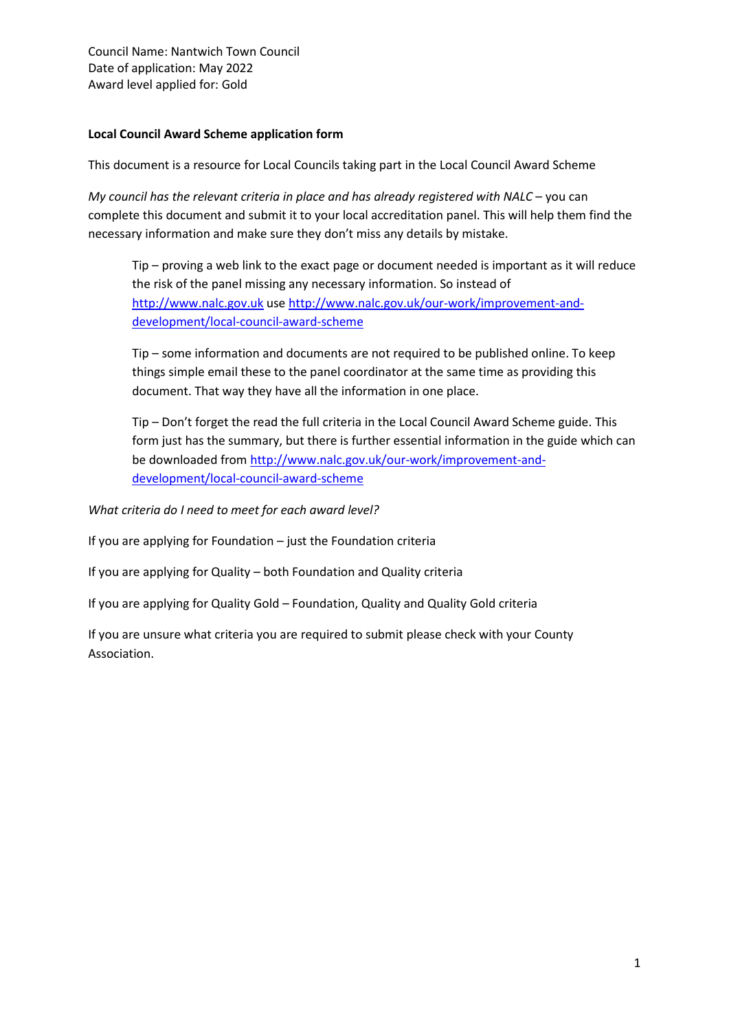## **Local Council Award Scheme application form**

This document is a resource for Local Councils taking part in the Local Council Award Scheme

*My council has the relevant criteria in place and has already registered with NALC* – you can complete this document and submit it to your local accreditation panel. This will help them find the necessary information and make sure they don't miss any details by mistake.

Tip – proving a web link to the exact page or document needed is important as it will reduce the risk of the panel missing any necessary information. So instead of [http://www.nalc.gov.uk](http://www.nalc.gov.uk/) use [http://www.nalc.gov.uk/our-work/improvement-and](http://www.nalc.gov.uk/our-work/improvement-and-development/local-council-award-scheme)[development/local-council-award-scheme](http://www.nalc.gov.uk/our-work/improvement-and-development/local-council-award-scheme)

Tip – some information and documents are not required to be published online. To keep things simple email these to the panel coordinator at the same time as providing this document. That way they have all the information in one place.

Tip – Don't forget the read the full criteria in the Local Council Award Scheme guide. This form just has the summary, but there is further essential information in the guide which can be downloaded from [http://www.nalc.gov.uk/our-work/improvement-and](http://www.nalc.gov.uk/our-work/improvement-and-development/local-council-award-scheme)[development/local-council-award-scheme](http://www.nalc.gov.uk/our-work/improvement-and-development/local-council-award-scheme)

*What criteria do I need to meet for each award level?*

If you are applying for Foundation – just the Foundation criteria

If you are applying for Quality – both Foundation and Quality criteria

If you are applying for Quality Gold – Foundation, Quality and Quality Gold criteria

If you are unsure what criteria you are required to submit please check with your County Association.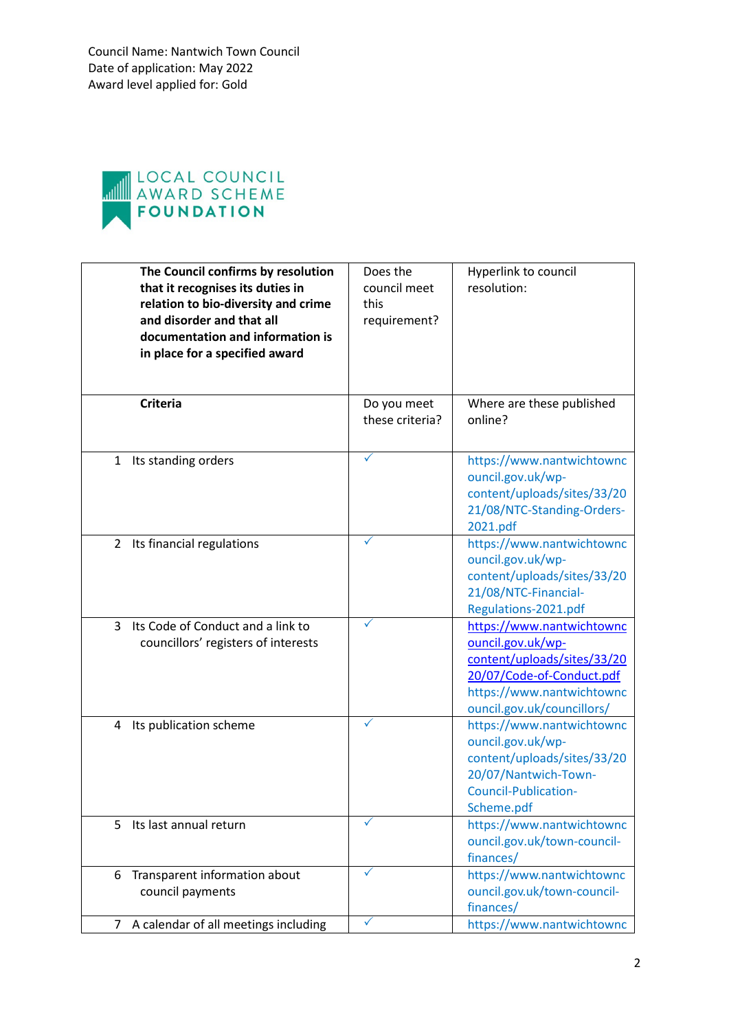

| The Council confirms by resolution<br>that it recognises its duties in<br>relation to bio-diversity and crime<br>and disorder and that all<br>documentation and information is<br>in place for a specified award | Does the<br>council meet<br>this<br>requirement? | Hyperlink to council<br>resolution:                                                                                                                                   |
|------------------------------------------------------------------------------------------------------------------------------------------------------------------------------------------------------------------|--------------------------------------------------|-----------------------------------------------------------------------------------------------------------------------------------------------------------------------|
| <b>Criteria</b>                                                                                                                                                                                                  | Do you meet<br>these criteria?                   | Where are these published<br>online?                                                                                                                                  |
| Its standing orders<br>$\mathbf{1}$                                                                                                                                                                              |                                                  | https://www.nantwichtownc<br>ouncil.gov.uk/wp-<br>content/uploads/sites/33/20<br>21/08/NTC-Standing-Orders-<br>2021.pdf                                               |
| 2 Its financial regulations                                                                                                                                                                                      | $\checkmark$                                     | https://www.nantwichtownc<br>ouncil.gov.uk/wp-<br>content/uploads/sites/33/20<br>21/08/NTC-Financial-<br>Regulations-2021.pdf                                         |
| Its Code of Conduct and a link to<br>3<br>councillors' registers of interests                                                                                                                                    | $\checkmark$                                     | https://www.nantwichtownc<br>ouncil.gov.uk/wp-<br>content/uploads/sites/33/20<br>20/07/Code-of-Conduct.pdf<br>https://www.nantwichtownc<br>ouncil.gov.uk/councillors/ |
| Its publication scheme<br>4                                                                                                                                                                                      |                                                  | https://www.nantwichtownc<br>ouncil.gov.uk/wp-<br>content/uploads/sites/33/20<br>20/07/Nantwich-Town-<br><b>Council-Publication-</b><br>Scheme.pdf                    |
| Its last annual return<br>5.                                                                                                                                                                                     |                                                  | https://www.nantwichtownc<br>ouncil.gov.uk/town-council-<br>finances/                                                                                                 |
| Transparent information about<br>6<br>council payments                                                                                                                                                           | $\checkmark$                                     | https://www.nantwichtownc<br>ouncil.gov.uk/town-council-<br>finances/                                                                                                 |
| A calendar of all meetings including<br>7 <sup>1</sup>                                                                                                                                                           | $\checkmark$                                     | https://www.nantwichtownc                                                                                                                                             |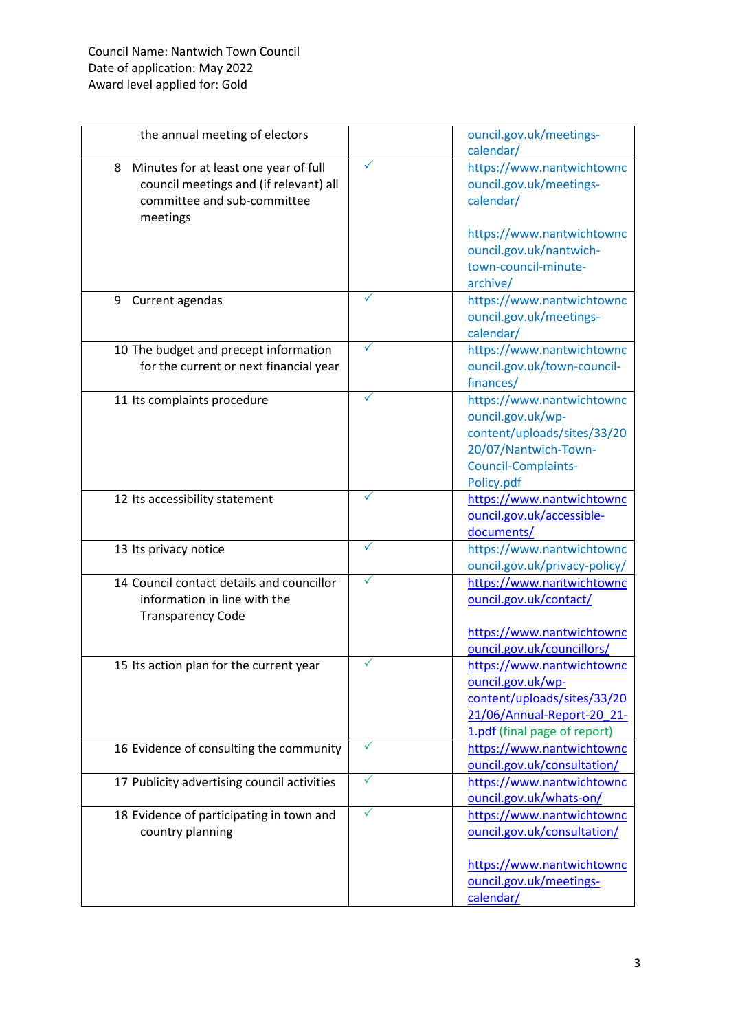| the annual meeting of electors                                                                                                  |   | ouncil.gov.uk/meetings-<br>calendar/                                                                                                                                      |
|---------------------------------------------------------------------------------------------------------------------------------|---|---------------------------------------------------------------------------------------------------------------------------------------------------------------------------|
| Minutes for at least one year of full<br>8<br>council meetings and (if relevant) all<br>committee and sub-committee<br>meetings |   | https://www.nantwichtownc<br>ouncil.gov.uk/meetings-<br>calendar/                                                                                                         |
|                                                                                                                                 |   | https://www.nantwichtownc<br>ouncil.gov.uk/nantwich-<br>town-council-minute-<br>archive/                                                                                  |
| Current agendas<br>9                                                                                                            |   | https://www.nantwichtownc<br>ouncil.gov.uk/meetings-<br>calendar/                                                                                                         |
| 10 The budget and precept information<br>for the current or next financial year                                                 | ✓ | https://www.nantwichtownc<br>ouncil.gov.uk/town-council-<br>finances/                                                                                                     |
| 11 Its complaints procedure                                                                                                     |   | https://www.nantwichtownc<br>ouncil.gov.uk/wp-<br>content/uploads/sites/33/20<br>20/07/Nantwich-Town-<br>Council-Complaints-<br>Policy.pdf                                |
| 12 Its accessibility statement                                                                                                  | ✓ | https://www.nantwichtownc<br>ouncil.gov.uk/accessible-<br>documents/                                                                                                      |
| 13 Its privacy notice                                                                                                           | ✓ | https://www.nantwichtownc<br>ouncil.gov.uk/privacy-policy/                                                                                                                |
| 14 Council contact details and councillor<br>information in line with the<br><b>Transparency Code</b>                           |   | https://www.nantwichtownc<br>ouncil.gov.uk/contact/<br>https://www.nantwichtownc                                                                                          |
| 15 Its action plan for the current year                                                                                         |   | ouncil.gov.uk/councillors/<br>https://www.nantwichtownc<br>ouncil.gov.uk/wp-<br>content/uploads/sites/33/20<br>21/06/Annual-Report-20 21-<br>1.pdf (final page of report) |
| 16 Evidence of consulting the community                                                                                         | ✓ | https://www.nantwichtownc<br>ouncil.gov.uk/consultation/                                                                                                                  |
| 17 Publicity advertising council activities                                                                                     | ✓ | https://www.nantwichtownc<br>ouncil.gov.uk/whats-on/                                                                                                                      |
| 18 Evidence of participating in town and<br>country planning                                                                    |   | https://www.nantwichtownc<br>ouncil.gov.uk/consultation/                                                                                                                  |
|                                                                                                                                 |   | https://www.nantwichtownc<br>ouncil.gov.uk/meetings-<br>calendar/                                                                                                         |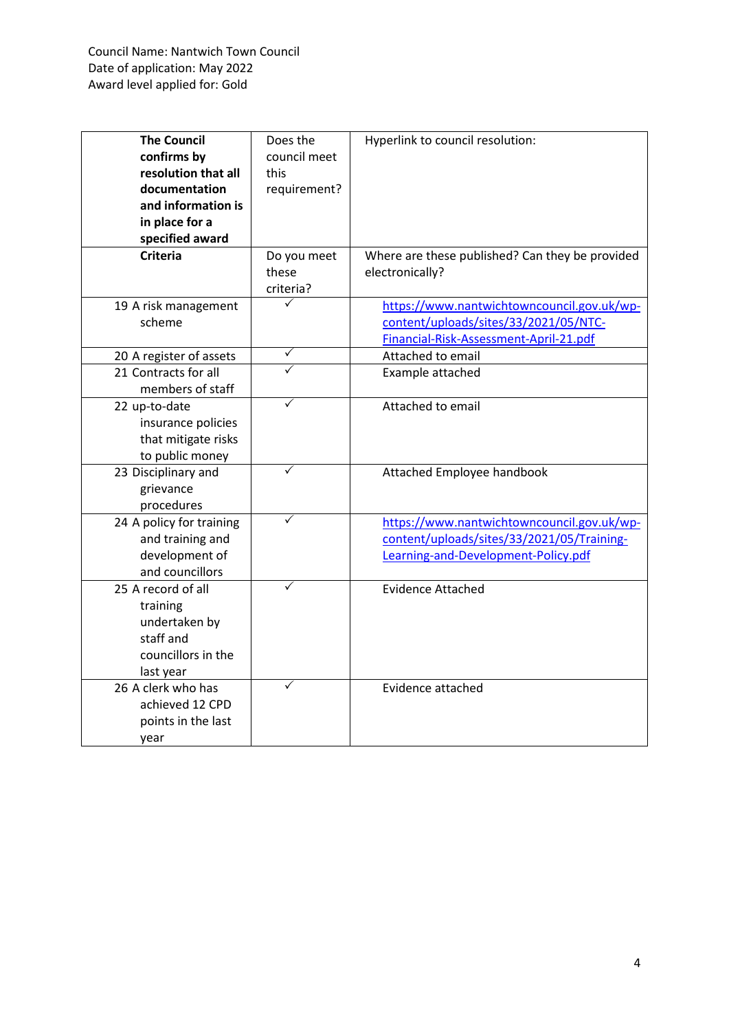| <b>The Council</b>                 | Does the     | Hyperlink to council resolution:                |
|------------------------------------|--------------|-------------------------------------------------|
| confirms by                        | council meet |                                                 |
| resolution that all                | this         |                                                 |
| documentation                      | requirement? |                                                 |
| and information is                 |              |                                                 |
| in place for a                     |              |                                                 |
|                                    |              |                                                 |
| specified award<br><b>Criteria</b> |              |                                                 |
|                                    | Do you meet  | Where are these published? Can they be provided |
|                                    | these        | electronically?                                 |
|                                    | criteria?    |                                                 |
| 19 A risk management               |              | https://www.nantwichtowncouncil.gov.uk/wp-      |
| scheme                             |              | content/uploads/sites/33/2021/05/NTC-           |
|                                    |              | Financial-Risk-Assessment-April-21.pdf          |
| 20 A register of assets            | ✓            | Attached to email                               |
| 21 Contracts for all               |              | Example attached                                |
| members of staff                   |              |                                                 |
| 22 up-to-date                      |              | Attached to email                               |
| insurance policies                 |              |                                                 |
| that mitigate risks                |              |                                                 |
| to public money                    |              |                                                 |
| 23 Disciplinary and                |              | Attached Employee handbook                      |
| grievance                          |              |                                                 |
| procedures                         |              |                                                 |
| 24 A policy for training           |              | https://www.nantwichtowncouncil.gov.uk/wp-      |
| and training and                   |              | content/uploads/sites/33/2021/05/Training-      |
| development of                     |              | Learning-and-Development-Policy.pdf             |
| and councillors                    |              |                                                 |
| 25 A record of all                 | ✓            | <b>Evidence Attached</b>                        |
| training                           |              |                                                 |
| undertaken by                      |              |                                                 |
| staff and                          |              |                                                 |
| councillors in the                 |              |                                                 |
| last year                          |              |                                                 |
| 26 A clerk who has                 |              | Evidence attached                               |
| achieved 12 CPD                    |              |                                                 |
| points in the last                 |              |                                                 |
|                                    |              |                                                 |
| year                               |              |                                                 |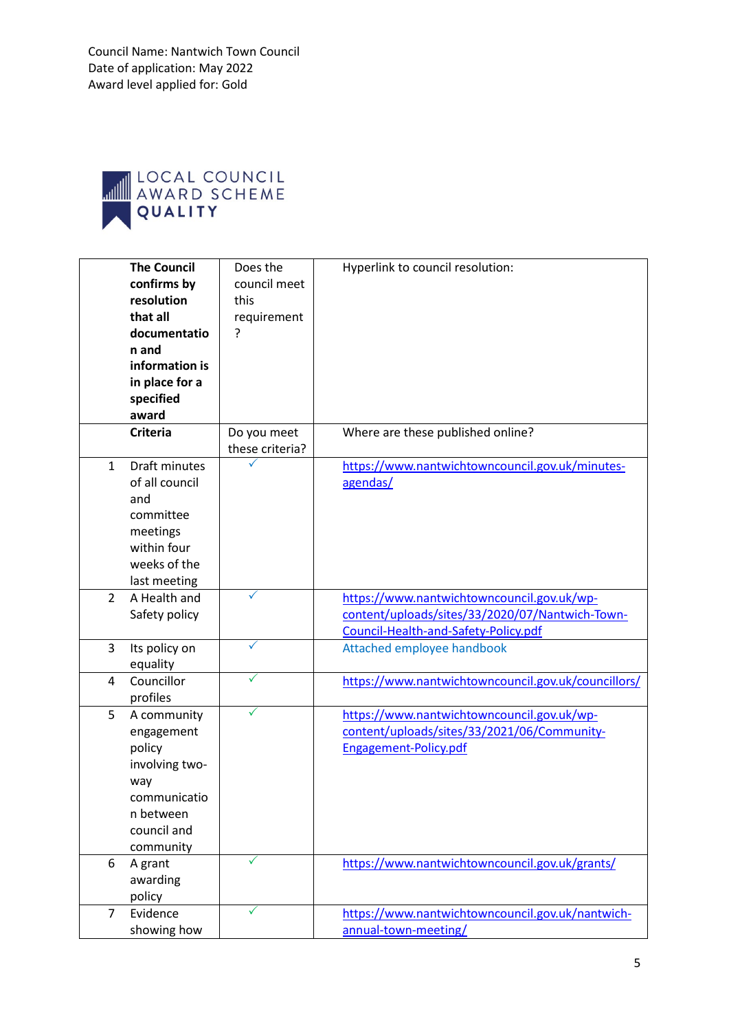

|                | <b>The Council</b><br>confirms by<br>resolution<br>that all<br>documentatio<br>n and<br>information is<br>in place for a<br>specified<br>award | Does the<br>council meet<br>this<br>requirement<br>ς | Hyperlink to council resolution:                                                                                                                                     |
|----------------|------------------------------------------------------------------------------------------------------------------------------------------------|------------------------------------------------------|----------------------------------------------------------------------------------------------------------------------------------------------------------------------|
|                | <b>Criteria</b>                                                                                                                                | Do you meet<br>these criteria?                       | Where are these published online?                                                                                                                                    |
| $\mathbf{1}$   | <b>Draft minutes</b><br>of all council<br>and<br>committee<br>meetings<br>within four<br>weeks of the<br>last meeting                          |                                                      | https://www.nantwichtowncouncil.gov.uk/minutes-<br>agendas/                                                                                                          |
| $\overline{2}$ | A Health and<br>Safety policy                                                                                                                  | ✓                                                    | https://www.nantwichtowncouncil.gov.uk/wp-<br>content/uploads/sites/33/2020/07/Nantwich-Town-<br>Council-Health-and-Safety-Policy.pdf                                |
| 3              | Its policy on<br>equality                                                                                                                      |                                                      | Attached employee handbook                                                                                                                                           |
| 4              | Councillor<br>profiles                                                                                                                         |                                                      | https://www.nantwichtowncouncil.gov.uk/councillors/                                                                                                                  |
| 5<br>6         | A community<br>engagement<br>policy<br>involving two-<br>way<br>communicatio<br>n between<br>council and<br>community<br>A grant               |                                                      | https://www.nantwichtowncouncil.gov.uk/wp-<br>content/uploads/sites/33/2021/06/Community-<br>Engagement-Policy.pdf<br>https://www.nantwichtowncouncil.gov.uk/grants/ |
|                | awarding<br>policy                                                                                                                             |                                                      |                                                                                                                                                                      |
| $\overline{7}$ | Evidence<br>showing how                                                                                                                        | ✓                                                    | https://www.nantwichtowncouncil.gov.uk/nantwich-<br>annual-town-meeting/                                                                                             |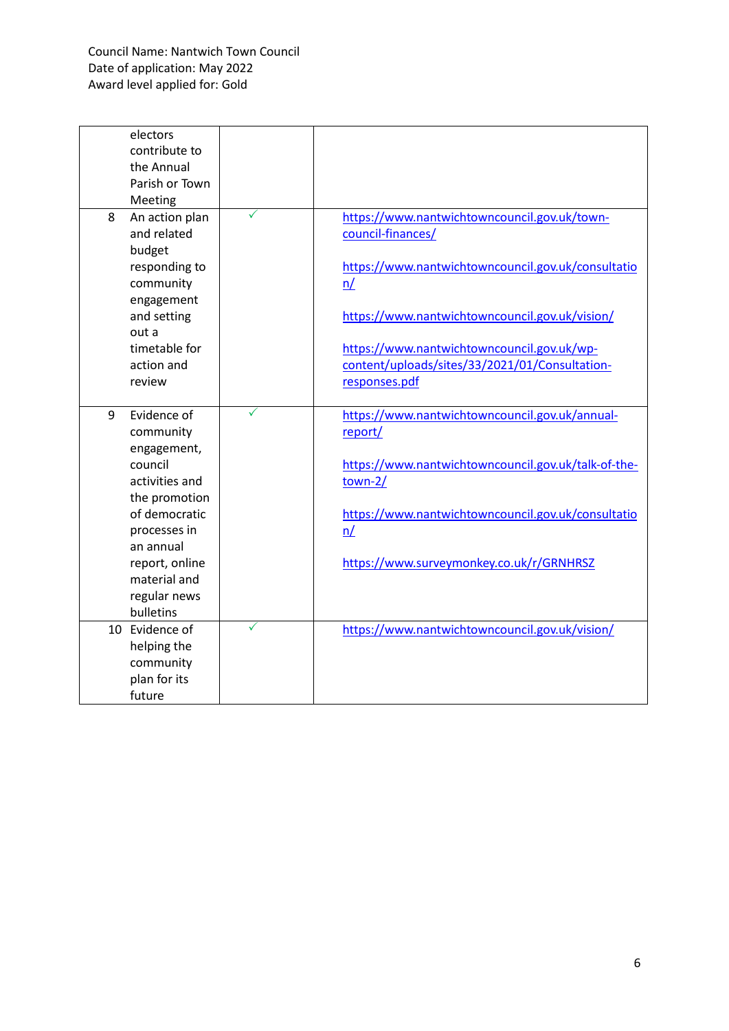| electors<br>contribute to<br>the Annual<br>Parish or Town<br>Meeting                                                                                                                                    |   |                                                                                                                                                                                                                                                                                                  |
|---------------------------------------------------------------------------------------------------------------------------------------------------------------------------------------------------------|---|--------------------------------------------------------------------------------------------------------------------------------------------------------------------------------------------------------------------------------------------------------------------------------------------------|
| 8<br>An action plan<br>and related<br>budget<br>responding to<br>community<br>engagement<br>and setting<br>out a<br>timetable for<br>action and<br>review                                               |   | https://www.nantwichtowncouncil.gov.uk/town-<br>council-finances/<br>https://www.nantwichtowncouncil.gov.uk/consultatio<br>n/<br>https://www.nantwichtowncouncil.gov.uk/vision/<br>https://www.nantwichtowncouncil.gov.uk/wp-<br>content/uploads/sites/33/2021/01/Consultation-<br>responses.pdf |
| Evidence of<br>9<br>community<br>engagement,<br>council<br>activities and<br>the promotion<br>of democratic<br>processes in<br>an annual<br>report, online<br>material and<br>regular news<br>bulletins | ✓ | https://www.nantwichtowncouncil.gov.uk/annual-<br>report/<br>https://www.nantwichtowncouncil.gov.uk/talk-of-the-<br>$town-2/$<br>https://www.nantwichtowncouncil.gov.uk/consultatio<br>n/<br>https://www.surveymonkey.co.uk/r/GRNHRSZ                                                            |
| 10 Evidence of<br>helping the<br>community<br>plan for its<br>future                                                                                                                                    | ✓ | https://www.nantwichtowncouncil.gov.uk/vision/                                                                                                                                                                                                                                                   |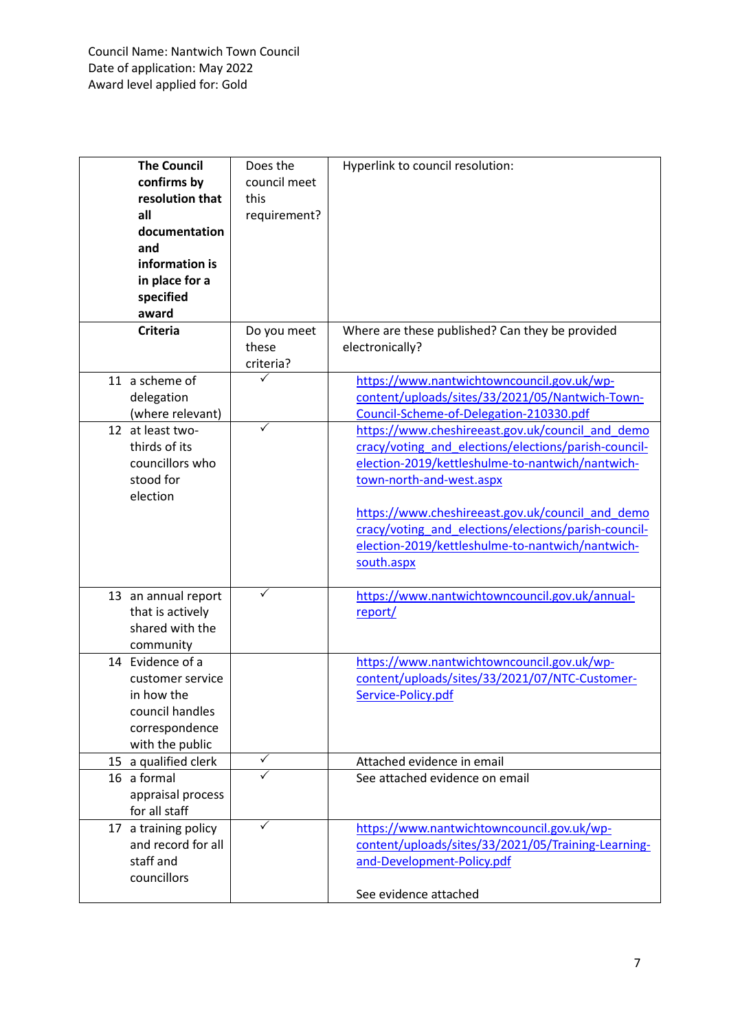| <b>The Council</b><br>confirms by<br>resolution that<br>all<br>documentation<br>and<br>information is<br>in place for a<br>specified<br>award | Does the<br>council meet<br>this<br>requirement? | Hyperlink to council resolution:                                                                                                                                                                                                                                                                                                                                       |
|-----------------------------------------------------------------------------------------------------------------------------------------------|--------------------------------------------------|------------------------------------------------------------------------------------------------------------------------------------------------------------------------------------------------------------------------------------------------------------------------------------------------------------------------------------------------------------------------|
| <b>Criteria</b>                                                                                                                               | Do you meet<br>these<br>criteria?                | Where are these published? Can they be provided<br>electronically?                                                                                                                                                                                                                                                                                                     |
| 11 a scheme of<br>delegation<br>(where relevant)                                                                                              | ✓                                                | https://www.nantwichtowncouncil.gov.uk/wp-<br>content/uploads/sites/33/2021/05/Nantwich-Town-<br>Council-Scheme-of-Delegation-210330.pdf                                                                                                                                                                                                                               |
| 12 at least two-<br>thirds of its<br>councillors who<br>stood for<br>election                                                                 | ✓                                                | https://www.cheshireeast.gov.uk/council and demo<br>cracy/voting and elections/elections/parish-council-<br>election-2019/kettleshulme-to-nantwich/nantwich-<br>town-north-and-west.aspx<br>https://www.cheshireeast.gov.uk/council and demo<br>cracy/voting and elections/elections/parish-council-<br>election-2019/kettleshulme-to-nantwich/nantwich-<br>south.aspx |
| 13 an annual report<br>that is actively<br>shared with the<br>community                                                                       |                                                  | https://www.nantwichtowncouncil.gov.uk/annual-<br>report/                                                                                                                                                                                                                                                                                                              |
| 14 Evidence of a<br>customer service<br>in how the<br>council handles<br>correspondence<br>with the public                                    |                                                  | https://www.nantwichtowncouncil.gov.uk/wp-<br>content/uploads/sites/33/2021/07/NTC-Customer-<br>Service-Policy.pdf                                                                                                                                                                                                                                                     |
| 15 a qualified clerk                                                                                                                          | ✓                                                | Attached evidence in email                                                                                                                                                                                                                                                                                                                                             |
| 16 a formal<br>appraisal process<br>for all staff                                                                                             |                                                  | See attached evidence on email                                                                                                                                                                                                                                                                                                                                         |
| 17 a training policy<br>and record for all<br>staff and<br>councillors                                                                        | $\checkmark$                                     | https://www.nantwichtowncouncil.gov.uk/wp-<br>content/uploads/sites/33/2021/05/Training-Learning-<br>and-Development-Policy.pdf<br>See evidence attached                                                                                                                                                                                                               |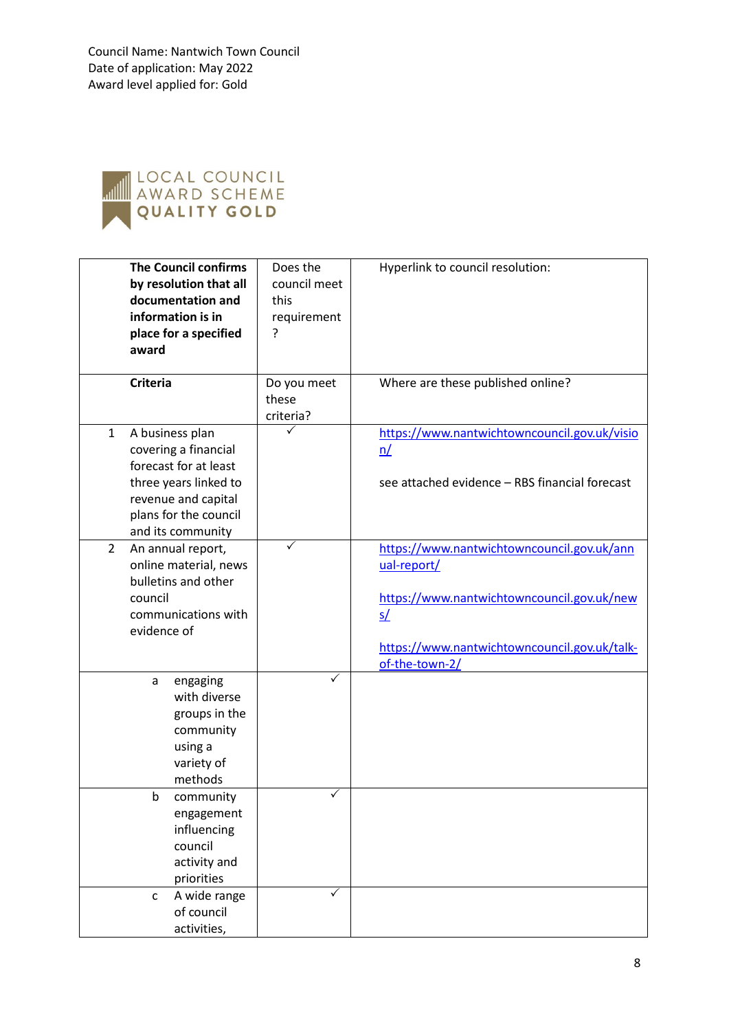

| <b>The Council confirms</b><br>by resolution that all<br>documentation and<br>information is in<br>place for a specified<br>award                                              | Does the<br>council meet<br>this<br>requirement<br>P | Hyperlink to council resolution:                                                                                                                                                          |
|--------------------------------------------------------------------------------------------------------------------------------------------------------------------------------|------------------------------------------------------|-------------------------------------------------------------------------------------------------------------------------------------------------------------------------------------------|
| <b>Criteria</b>                                                                                                                                                                | Do you meet<br>these<br>criteria?                    | Where are these published online?                                                                                                                                                         |
| $\mathbf{1}$<br>A business plan<br>covering a financial<br>forecast for at least<br>three years linked to<br>revenue and capital<br>plans for the council<br>and its community | ✓                                                    | https://www.nantwichtowncouncil.gov.uk/visio<br>n/<br>see attached evidence - RBS financial forecast                                                                                      |
| $\overline{2}$<br>An annual report,<br>online material, news<br>bulletins and other<br>council<br>communications with<br>evidence of                                           | $\checkmark$                                         | https://www.nantwichtowncouncil.gov.uk/ann<br>ual-report/<br>https://www.nantwichtowncouncil.gov.uk/new<br>$\mathsf{S}$<br>https://www.nantwichtowncouncil.gov.uk/talk-<br>of-the-town-2/ |
| engaging<br>a<br>with diverse<br>groups in the<br>community<br>using a<br>variety of<br>methods                                                                                | $\checkmark$                                         |                                                                                                                                                                                           |
| b<br>community<br>engagement<br>influencing<br>council<br>activity and<br>priorities                                                                                           |                                                      |                                                                                                                                                                                           |
| A wide range<br>c<br>of council<br>activities,                                                                                                                                 |                                                      |                                                                                                                                                                                           |